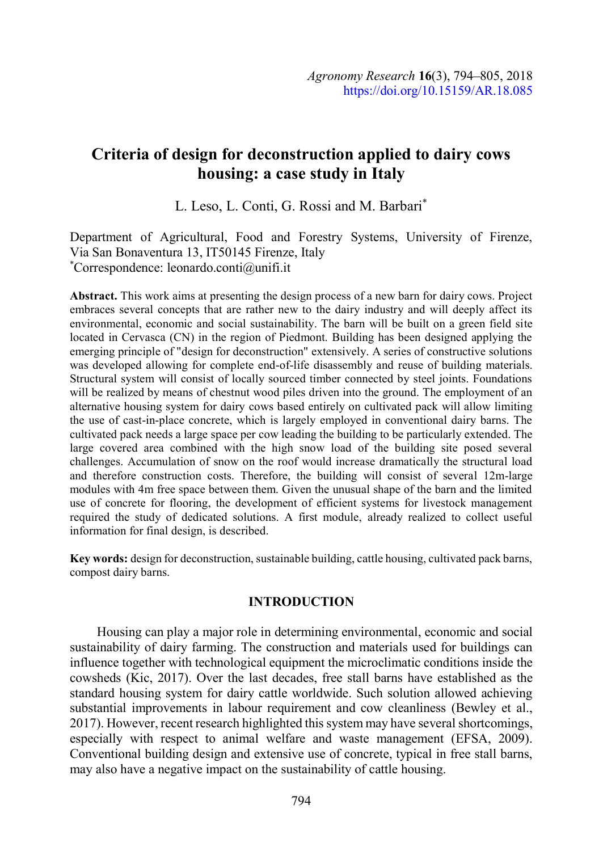# Criteria of design for deconstruction applied to dairy cows housing: a case study in Italy

L. Leso, L. Conti, G. Rossi and M. Barbari\*

Department of Agricultural, Food and Forestry Systems, University of Firenze, Via San Bonaventura 13, IT50145 Firenze, Italy \*Correspondence: leonardo.conti@unifi.it

Abstract. This work aims at presenting the design process of a new barn for dairy cows. Project embraces several concepts that are rather new to the dairy industry and will deeply affect its environmental, economic and social sustainability. The barn will be built on a green field site located in Cervasca (CN) in the region of Piedmont. Building has been designed applying the emerging principle of "design for deconstruction" extensively. A series of constructive solutions was developed allowing for complete end-of-life disassembly and reuse of building materials. Structural system will consist of locally sourced timber connected by steel joints. Foundations will be realized by means of chestnut wood piles driven into the ground. The employment of an alternative housing system for dairy cows based entirely on cultivated pack will allow limiting the use of cast-in-place concrete, which is largely employed in conventional dairy barns. The cultivated pack needs a large space per cow leading the building to be particularly extended. The large covered area combined with the high snow load of the building site posed several challenges. Accumulation of snow on the roof would increase dramatically the structural load and therefore construction costs. Therefore, the building will consist of several 12m-large modules with 4m free space between them. Given the unusual shape of the barn and the limited use of concrete for flooring, the development of efficient systems for livestock management required the study of dedicated solutions. A first module, already realized to collect useful information for final design, is described.

Key words: design for deconstruction, sustainable building, cattle housing, cultivated pack barns, compost dairy barns.

# INTRODUCTION

Housing can play a major role in determining environmental, economic and social sustainability of dairy farming. The construction and materials used for buildings can influence together with technological equipment the microclimatic conditions inside the cowsheds (Kic, 2017). Over the last decades, free stall barns have established as the standard housing system for dairy cattle worldwide. Such solution allowed achieving substantial improvements in labour requirement and cow cleanliness (Bewley et al., 2017). However, recent research highlighted this system may have several shortcomings, especially with respect to animal welfare and waste management (EFSA, 2009). Conventional building design and extensive use of concrete, typical in free stall barns, may also have a negative impact on the sustainability of cattle housing.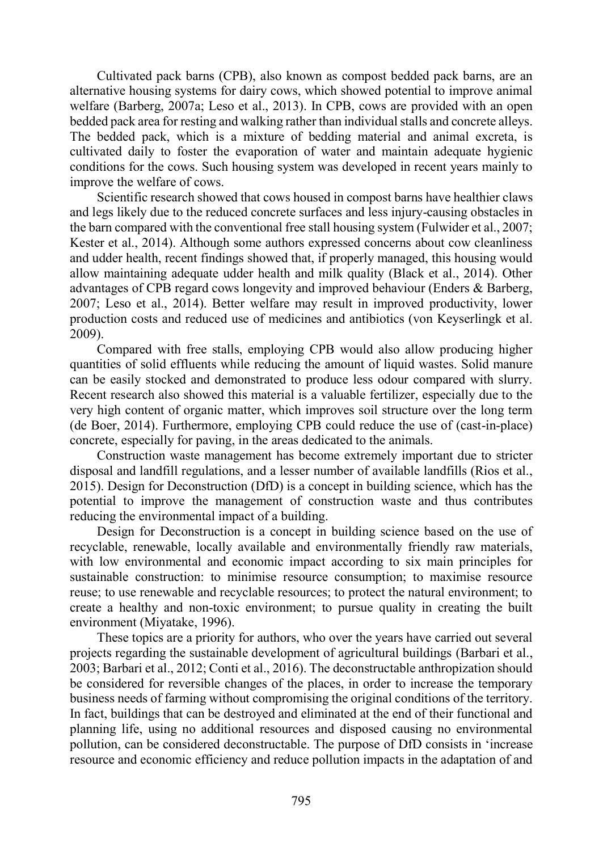Cultivated pack barns (CPB), also known as compost bedded pack barns, are an alternative housing systems for dairy cows, which showed potential to improve animal welfare (Barberg, 2007a; Leso et al., 2013). In CPB, cows are provided with an open bedded pack area for resting and walking rather than individual stalls and concrete alleys. The bedded pack, which is a mixture of bedding material and animal excreta, is cultivated daily to foster the evaporation of water and maintain adequate hygienic conditions for the cows. Such housing system was developed in recent years mainly to improve the welfare of cows.

Scientific research showed that cows housed in compost barns have healthier claws and legs likely due to the reduced concrete surfaces and less injury-causing obstacles in the barn compared with the conventional free stall housing system (Fulwider et al., 2007; Kester et al., 2014). Although some authors expressed concerns about cow cleanliness and udder health, recent findings showed that, if properly managed, this housing would allow maintaining adequate udder health and milk quality (Black et al., 2014). Other advantages of CPB regard cows longevity and improved behaviour (Enders & Barberg, 2007; Leso et al., 2014). Better welfare may result in improved productivity, lower production costs and reduced use of medicines and antibiotics (von Keyserlingk et al. 2009).

Compared with free stalls, employing CPB would also allow producing higher quantities of solid effluents while reducing the amount of liquid wastes. Solid manure can be easily stocked and demonstrated to produce less odour compared with slurry. Recent research also showed this material is a valuable fertilizer, especially due to the very high content of organic matter, which improves soil structure over the long term (de Boer, 2014). Furthermore, employing CPB could reduce the use of (cast-in-place) concrete, especially for paving, in the areas dedicated to the animals.

Construction waste management has become extremely important due to stricter disposal and landfill regulations, and a lesser number of available landfills (Rios et al., 2015). Design for Deconstruction (DfD) is a concept in building science, which has the potential to improve the management of construction waste and thus contributes reducing the environmental impact of a building.

Design for Deconstruction is a concept in building science based on the use of recyclable, renewable, locally available and environmentally friendly raw materials, with low environmental and economic impact according to six main principles for sustainable construction: to minimise resource consumption; to maximise resource reuse; to use renewable and recyclable resources; to protect the natural environment; to create a healthy and non-toxic environment; to pursue quality in creating the built environment (Miyatake, 1996).

These topics are a priority for authors, who over the years have carried out several projects regarding the sustainable development of agricultural buildings (Barbari et al., 2003; Barbari et al., 2012; Conti et al., 2016). The deconstructable anthropization should be considered for reversible changes of the places, in order to increase the temporary business needs of farming without compromising the original conditions of the territory. In fact, buildings that can be destroyed and eliminated at the end of their functional and planning life, using no additional resources and disposed causing no environmental pollution, can be considered deconstructable. The purpose of DfD consists in 'increase resource and economic efficiency and reduce pollution impacts in the adaptation of and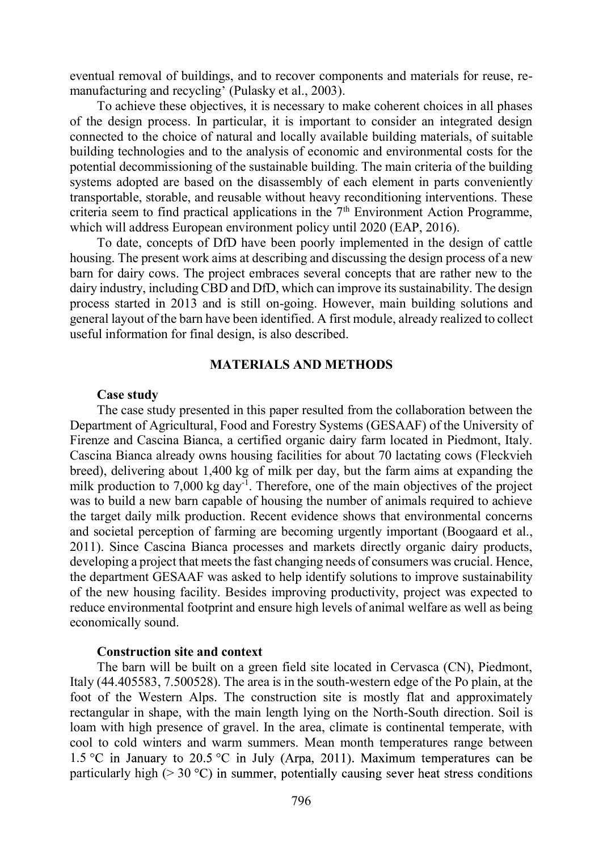eventual removal of buildings, and to recover components and materials for reuse, remanufacturing and recycling<sup>7</sup> (Pulasky et al., 2003).

To achieve these objectives, it is necessary to make coherent choices in all phases of the design process. In particular, it is important to consider an integrated design connected to the choice of natural and locally available building materials, of suitable building technologies and to the analysis of economic and environmental costs for the potential decommissioning of the sustainable building. The main criteria of the building systems adopted are based on the disassembly of each element in parts conveniently transportable, storable, and reusable without heavy reconditioning interventions. These criteria seem to find practical applications in the  $7<sup>th</sup>$  Environment Action Programme, which will address European environment policy until 2020 (EAP, 2016).

To date, concepts of DfD have been poorly implemented in the design of cattle housing. The present work aims at describing and discussing the design process of a new barn for dairy cows. The project embraces several concepts that are rather new to the dairy industry, including CBD and DfD, which can improve its sustainability. The design process started in 2013 and is still on-going. However, main building solutions and general layout of the barn have been identified. A first module, already realized to collect useful information for final design, is also described.

### MATERIALS AND METHODS

#### Case study

The case study presented in this paper resulted from the collaboration between the Department of Agricultural, Food and Forestry Systems (GESAAF) of the University of Firenze and Cascina Bianca, a certified organic dairy farm located in Piedmont, Italy. Cascina Bianca already owns housing facilities for about 70 lactating cows (Fleckvieh breed), delivering about 1,400 kg of milk per day, but the farm aims at expanding the milk production to  $7,000 \text{ kg day}^{-1}$ . Therefore, one of the main objectives of the project was to build a new barn capable of housing the number of animals required to achieve the target daily milk production. Recent evidence shows that environmental concerns and societal perception of farming are becoming urgently important (Boogaard et al., 2011). Since Cascina Bianca processes and markets directly organic dairy products, developing a project that meets the fast changing needs of consumers was crucial. Hence, the department GESAAF was asked to help identify solutions to improve sustainability of the new housing facility. Besides improving productivity, project was expected to reduce environmental footprint and ensure high levels of animal welfare as well as being economically sound.

#### Construction site and context

The barn will be built on a green field site located in Cervasca (CN), Piedmont, Italy (44.405583, 7.500528). The area is in the south-western edge of the Po plain, at the foot of the Western Alps. The construction site is mostly flat and approximately rectangular in shape, with the main length lying on the North-South direction. Soil is loam with high presence of gravel. In the area, climate is continental temperate, with cool to cold winters and warm summers. Mean month temperatures range between 1.5 °C in January to 20.5 °C in July (Arpa, 2011). Maximum temperatures can be particularly high ( $>$  30 °C) in summer, potentially causing sever heat stress conditions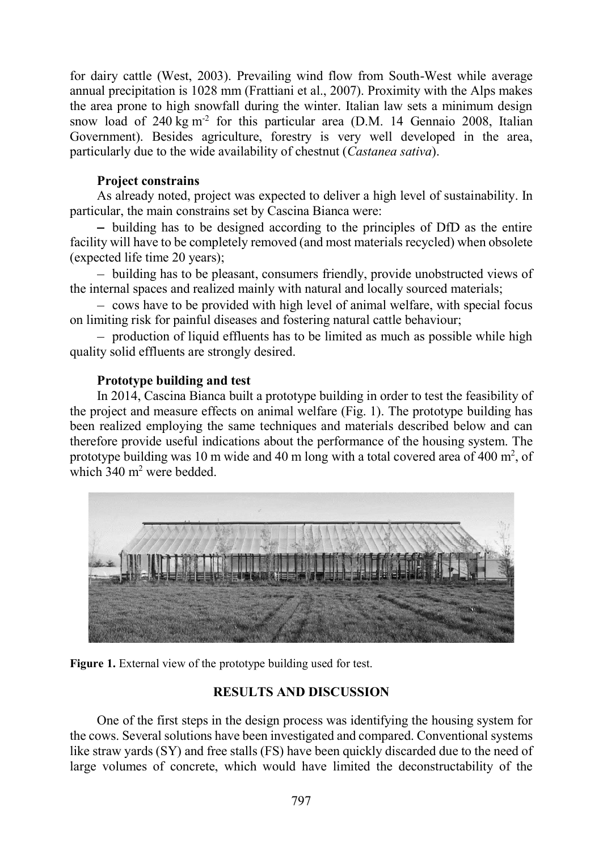for dairy cattle (West, 2003). Prevailing wind flow from South-West while average annual precipitation is 1028 mm (Frattiani et al., 2007). Proximity with the Alps makes the area prone to high snowfall during the winter. Italian law sets a minimum design snow load of 240 kg m<sup>-2</sup> for this particular area (D.M. 14 Gennaio 2008, Italian Government). Besides agriculture, forestry is very well developed in the area, particularly due to the wide availability of chestnut (Castanea sativa).

# Project constrains

As already noted, project was expected to deliver a high level of sustainability. In particular, the main constrains set by Cascina Bianca were:

building has to be designed according to the principles of DfD as the entire facility will have to be completely removed (and most materials recycled) when obsolete (expected life time 20 years);

- building has to be pleasant, consumers friendly, provide unobstructed views of the internal spaces and realized mainly with natural and locally sourced materials;

- cows have to be provided with high level of animal welfare, with special focus on limiting risk for painful diseases and fostering natural cattle behaviour;

- production of liquid effluents has to be limited as much as possible while high quality solid effluents are strongly desired.

# Prototype building and test

In 2014, Cascina Bianca built a prototype building in order to test the feasibility of the project and measure effects on animal welfare (Fig. 1). The prototype building has been realized employing the same techniques and materials described below and can therefore provide useful indications about the performance of the housing system. The prototype building was 10 m wide and 40 m long with a total covered area of 400 m<sup>2</sup>, of which  $340 \text{ m}^2$  were bedded.



Figure 1. External view of the prototype building used for test.

# RESULTS AND DISCUSSION

One of the first steps in the design process was identifying the housing system for the cows. Several solutions have been investigated and compared. Conventional systems like straw yards (SY) and free stalls (FS) have been quickly discarded due to the need of large volumes of concrete, which would have limited the deconstructability of the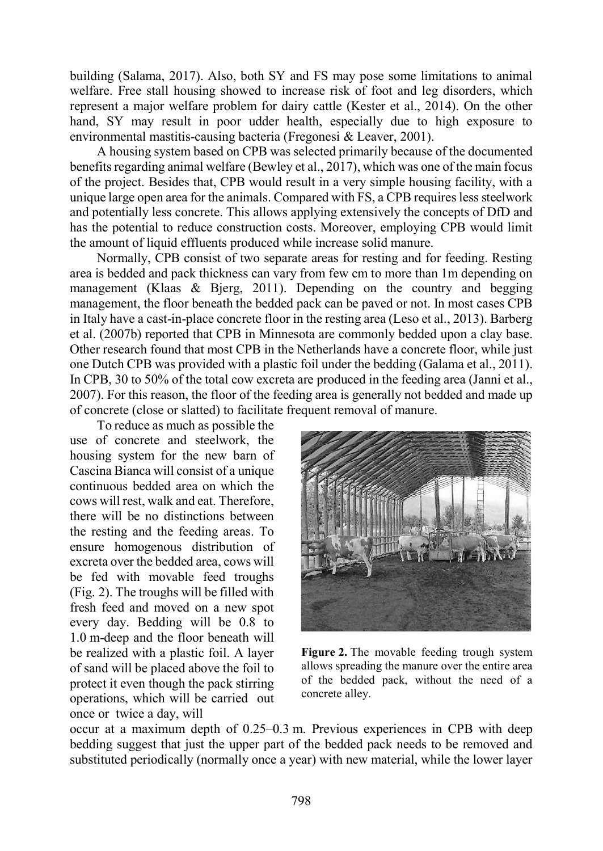building (Salama, 2017). Also, both SY and FS may pose some limitations to animal welfare. Free stall housing showed to increase risk of foot and leg disorders, which represent a major welfare problem for dairy cattle (Kester et al., 2014). On the other hand, SY may result in poor udder health, especially due to high exposure to environmental mastitis-causing bacteria (Fregonesi & Leaver, 2001).

A housing system based on CPB was selected primarily because of the documented benefits regarding animal welfare (Bewley et al., 2017), which was one of the main focus of the project. Besides that, CPB would result in a very simple housing facility, with a unique large open area for the animals. Compared with FS, a CPB requires less steelwork and potentially less concrete. This allows applying extensively the concepts of DfD and has the potential to reduce construction costs. Moreover, employing CPB would limit the amount of liquid effluents produced while increase solid manure.

Normally, CPB consist of two separate areas for resting and for feeding. Resting area is bedded and pack thickness can vary from few cm to more than 1m depending on management (Klaas & Bjerg, 2011). Depending on the country and begging management, the floor beneath the bedded pack can be paved or not. In most cases CPB in Italy have a cast-in-place concrete floor in the resting area (Leso et al., 2013). Barberg et al. (2007b) reported that CPB in Minnesota are commonly bedded upon a clay base. Other research found that most CPB in the Netherlands have a concrete floor, while just one Dutch CPB was provided with a plastic foil under the bedding (Galama et al., 2011). In CPB, 30 to 50% of the total cow excreta are produced in the feeding area (Janni et al., 2007). For this reason, the floor of the feeding area is generally not bedded and made up of concrete (close or slatted) to facilitate frequent removal of manure.

To reduce as much as possible the use of concrete and steelwork, the housing system for the new barn of Cascina Bianca will consist of a unique continuous bedded area on which the cows will rest, walk and eat. Therefore, there will be no distinctions between the resting and the feeding areas. To ensure homogenous distribution of excreta over the bedded area, cows will be fed with movable feed troughs (Fig. 2). The troughs will be filled with fresh feed and moved on a new spot every day. Bedding will be 0.8 to 1.0 m-deep and the floor beneath will be realized with a plastic foil. A layer of sand will be placed above the foil to protect it even though the pack stirring operations, which will be carried out once or twice a day, will



Figure 2. The movable feeding trough system allows spreading the manure over the entire area of the bedded pack, without the need of a concrete alley.

occur at a maximum depth of 0.25–0.3 m. Previous experiences in CPB with deep bedding suggest that just the upper part of the bedded pack needs to be removed and substituted periodically (normally once a year) with new material, while the lower layer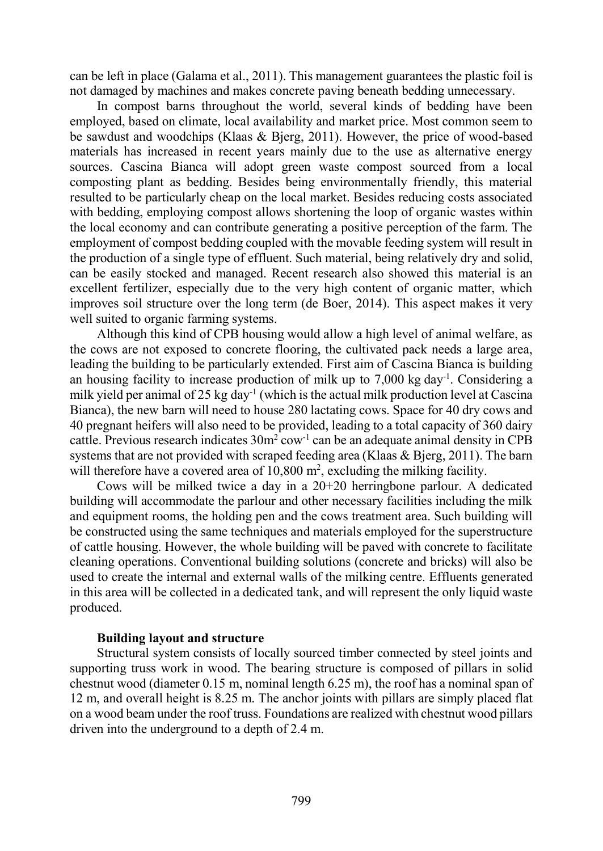can be left in place (Galama et al., 2011). This management guarantees the plastic foil is not damaged by machines and makes concrete paving beneath bedding unnecessary.

In compost barns throughout the world, several kinds of bedding have been employed, based on climate, local availability and market price. Most common seem to be sawdust and woodchips (Klaas & Bjerg, 2011). However, the price of wood-based materials has increased in recent years mainly due to the use as alternative energy sources. Cascina Bianca will adopt green waste compost sourced from a local composting plant as bedding. Besides being environmentally friendly, this material resulted to be particularly cheap on the local market. Besides reducing costs associated with bedding, employing compost allows shortening the loop of organic wastes within the local economy and can contribute generating a positive perception of the farm. The employment of compost bedding coupled with the movable feeding system will result in the production of a single type of effluent. Such material, being relatively dry and solid, can be easily stocked and managed. Recent research also showed this material is an excellent fertilizer, especially due to the very high content of organic matter, which improves soil structure over the long term (de Boer, 2014). This aspect makes it very well suited to organic farming systems.

Although this kind of CPB housing would allow a high level of animal welfare, as the cows are not exposed to concrete flooring, the cultivated pack needs a large area, leading the building to be particularly extended. First aim of Cascina Bianca is building an housing facility to increase production of milk up to  $7,000$  kg day<sup>-1</sup>. Considering a milk yield per animal of 25 kg day-1 (which is the actual milk production level at Cascina Bianca), the new barn will need to house 280 lactating cows. Space for 40 dry cows and 40 pregnant heifers will also need to be provided, leading to a total capacity of 360 dairy cattle. Previous research indicates  $30m^2$  cow<sup>-1</sup> can be an adequate animal density in CPB systems that are not provided with scraped feeding area (Klaas  $\&$  Bjerg, 2011). The barn will therefore have a covered area of  $10,800$  m<sup>2</sup>, excluding the milking facility.

Cows will be milked twice a day in a 20+20 herringbone parlour. A dedicated building will accommodate the parlour and other necessary facilities including the milk and equipment rooms, the holding pen and the cows treatment area. Such building will be constructed using the same techniques and materials employed for the superstructure of cattle housing. However, the whole building will be paved with concrete to facilitate cleaning operations. Conventional building solutions (concrete and bricks) will also be used to create the internal and external walls of the milking centre. Effluents generated in this area will be collected in a dedicated tank, and will represent the only liquid waste produced.

#### Building layout and structure

Structural system consists of locally sourced timber connected by steel joints and supporting truss work in wood. The bearing structure is composed of pillars in solid chestnut wood (diameter 0.15 m, nominal length 6.25 m), the roof has a nominal span of 12 m, and overall height is 8.25 m. The anchor joints with pillars are simply placed flat on a wood beam under the roof truss. Foundations are realized with chestnut wood pillars driven into the underground to a depth of 2.4 m.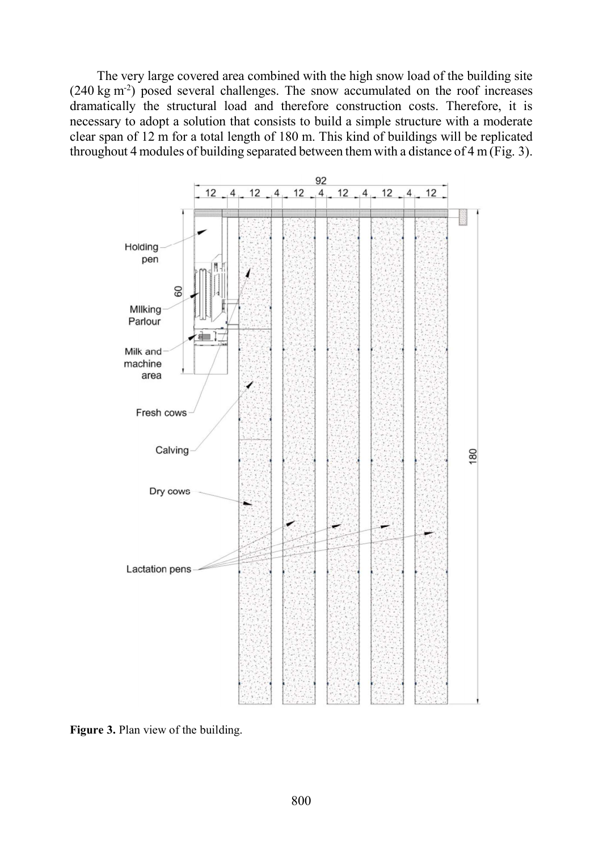The very large covered area combined with the high snow load of the building site (240 kg m-2) posed several challenges. The snow accumulated on the roof increases dramatically the structural load and therefore construction costs. Therefore, it is necessary to adopt a solution that consists to build a simple structure with a moderate clear span of 12 m for a total length of 180 m. This kind of buildings will be replicated throughout 4 modules of building separated between them with a distance of 4 m (Fig. 3).



Figure 3. Plan view of the building.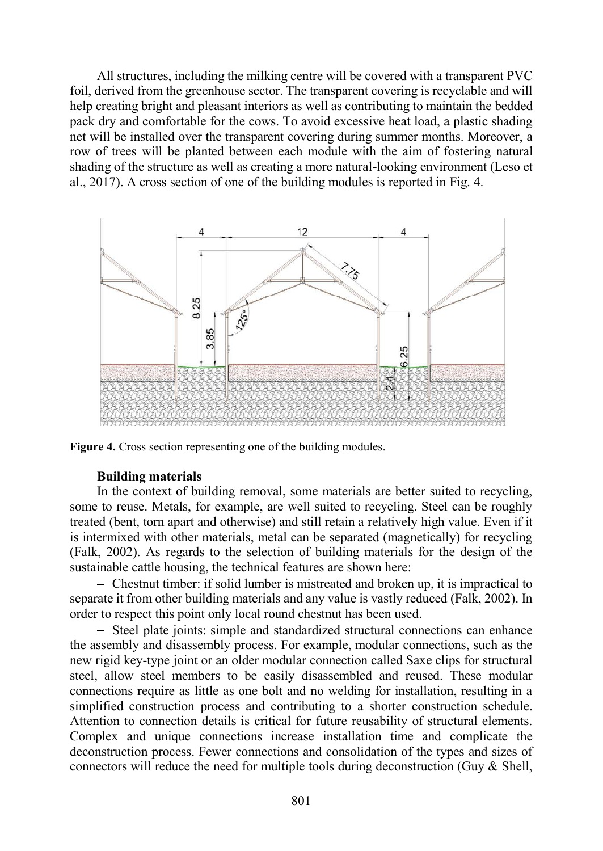All structures, including the milking centre will be covered with a transparent PVC foil, derived from the greenhouse sector. The transparent covering is recyclable and will help creating bright and pleasant interiors as well as contributing to maintain the bedded pack dry and comfortable for the cows. To avoid excessive heat load, a plastic shading net will be installed over the transparent covering during summer months. Moreover, a row of trees will be planted between each module with the aim of fostering natural shading of the structure as well as creating a more natural-looking environment (Leso et al., 2017). A cross section of one of the building modules is reported in Fig. 4.



Figure 4. Cross section representing one of the building modules.

## Building materials

In the context of building removal, some materials are better suited to recycling, some to reuse. Metals, for example, are well suited to recycling. Steel can be roughly treated (bent, torn apart and otherwise) and still retain a relatively high value. Even if it is intermixed with other materials, metal can be separated (magnetically) for recycling (Falk, 2002). As regards to the selection of building materials for the design of the sustainable cattle housing, the technical features are shown here:

Chestnut timber: if solid lumber is mistreated and broken up, it is impractical to separate it from other building materials and any value is vastly reduced (Falk, 2002). In order to respect this point only local round chestnut has been used.

- Steel plate joints: simple and standardized structural connections can enhance the assembly and disassembly process. For example, modular connections, such as the new rigid key-type joint or an older modular connection called Saxe clips for structural steel, allow steel members to be easily disassembled and reused. These modular connections require as little as one bolt and no welding for installation, resulting in a simplified construction process and contributing to a shorter construction schedule. Attention to connection details is critical for future reusability of structural elements. Complex and unique connections increase installation time and complicate the deconstruction process. Fewer connections and consolidation of the types and sizes of connectors will reduce the need for multiple tools during deconstruction (Guy  $\&$  Shell,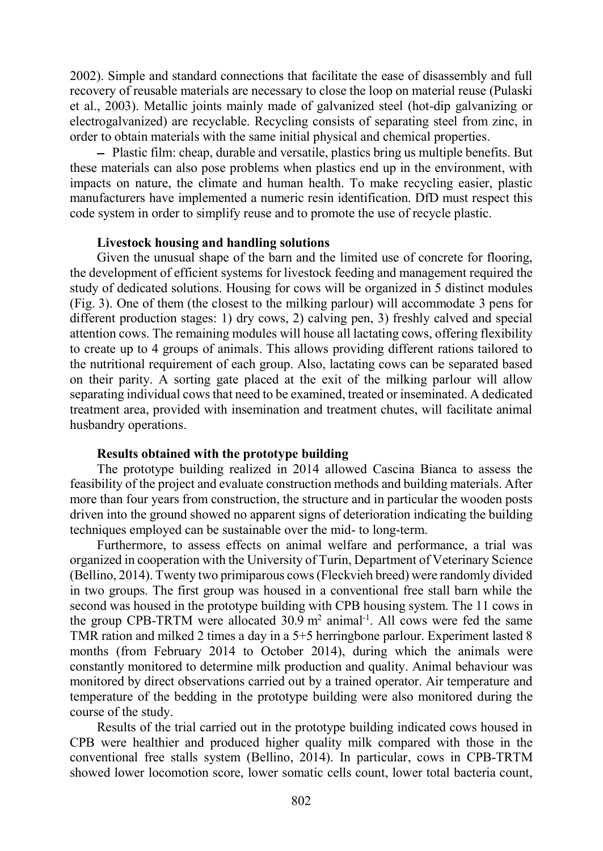2002). Simple and standard connections that facilitate the ease of disassembly and full recovery of reusable materials are necessary to close the loop on material reuse (Pulaski et al., 2003). Metallic joints mainly made of galvanized steel (hot-dip galvanizing or electrogalvanized) are recyclable. Recycling consists of separating steel from zinc, in order to obtain materials with the same initial physical and chemical properties.

- Plastic film: cheap, durable and versatile, plastics bring us multiple benefits. But these materials can also pose problems when plastics end up in the environment, with impacts on nature, the climate and human health. To make recycling easier, plastic manufacturers have implemented a numeric resin identification. DfD must respect this code system in order to simplify reuse and to promote the use of recycle plastic.

### Livestock housing and handling solutions

Given the unusual shape of the barn and the limited use of concrete for flooring, the development of efficient systems for livestock feeding and management required the study of dedicated solutions. Housing for cows will be organized in 5 distinct modules (Fig. 3). One of them (the closest to the milking parlour) will accommodate 3 pens for different production stages: 1) dry cows, 2) calving pen, 3) freshly calved and special attention cows. The remaining modules will house all lactating cows, offering flexibility to create up to 4 groups of animals. This allows providing different rations tailored to the nutritional requirement of each group. Also, lactating cows can be separated based on their parity. A sorting gate placed at the exit of the milking parlour will allow separating individual cows that need to be examined, treated or inseminated. A dedicated treatment area, provided with insemination and treatment chutes, will facilitate animal husbandry operations.

## Results obtained with the prototype building

The prototype building realized in 2014 allowed Cascina Bianca to assess the feasibility of the project and evaluate construction methods and building materials. After more than four years from construction, the structure and in particular the wooden posts driven into the ground showed no apparent signs of deterioration indicating the building techniques employed can be sustainable over the mid- to long-term.

Furthermore, to assess effects on animal welfare and performance, a trial was organized in cooperation with the University of Turin, Department of Veterinary Science (Bellino, 2014). Twenty two primiparous cows (Fleckvieh breed) were randomly divided in two groups. The first group was housed in a conventional free stall barn while the second was housed in the prototype building with CPB housing system. The 11 cows in the group CPB-TRTM were allocated  $30.9 \text{ m}^2$  animal<sup>-1</sup>. All cows were fed the same TMR ration and milked 2 times a day in a 5+5 herringbone parlour. Experiment lasted 8 months (from February 2014 to October 2014), during which the animals were constantly monitored to determine milk production and quality. Animal behaviour was monitored by direct observations carried out by a trained operator. Air temperature and temperature of the bedding in the prototype building were also monitored during the course of the study.

Results of the trial carried out in the prototype building indicated cows housed in CPB were healthier and produced higher quality milk compared with those in the conventional free stalls system (Bellino, 2014). In particular, cows in CPB-TRTM showed lower locomotion score, lower somatic cells count, lower total bacteria count,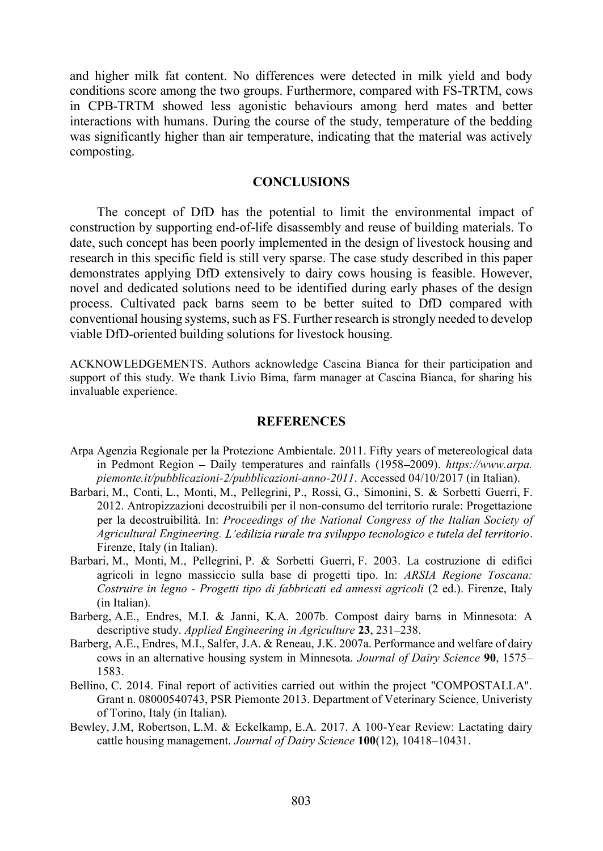and higher milk fat content. No differences were detected in milk yield and body conditions score among the two groups. Furthermore, compared with FS-TRTM, cows in CPB-TRTM showed less agonistic behaviours among herd mates and better interactions with humans. During the course of the study, temperature of the bedding was significantly higher than air temperature, indicating that the material was actively composting.

## **CONCLUSIONS**

The concept of DfD has the potential to limit the environmental impact of construction by supporting end-of-life disassembly and reuse of building materials. To date, such concept has been poorly implemented in the design of livestock housing and research in this specific field is still very sparse. The case study described in this paper demonstrates applying DfD extensively to dairy cows housing is feasible. However, novel and dedicated solutions need to be identified during early phases of the design process. Cultivated pack barns seem to be better suited to DfD compared with conventional housing systems, such as FS. Further research is strongly needed to develop viable DfD-oriented building solutions for livestock housing.

ACKNOWLEDGEMENTS. Authors acknowledge Cascina Bianca for their participation and support of this study. We thank Livio Bima, farm manager at Cascina Bianca, for sharing his invaluable experience.

#### **REFERENCES**

- Arpa Agenzia Regionale per la Protezione Ambientale. 2011. Fifty years of metereological data in Pedmont Region - Daily temperatures and rainfalls (1958-2009). https://www.arpa. piemonte.it/pubblicazioni-2/pubblicazioni-anno-2011. Accessed 04/10/2017 (in Italian).
- Barbari, M., Conti, L., Monti, M., Pellegrini, P., Rossi, G., Simonini, S. & Sorbetti Guerri, F. 2012. Antropizzazioni decostruibili per il non-consumo del territorio rurale: Progettazione per la decostruibilità. In: Proceedings of the National Congress of the Italian Society of Agricultural Engineering. L'edilizia rurale tra sviluppo tecnologico e tutela del territorio.<br>Firenze, Italy (in Italian).
- Barbari, M., Monti, M., Pellegrini, P. & Sorbetti Guerri, F. 2003. La costruzione di edifici agricoli in legno massiccio sulla base di progetti tipo. In: ARSIA Regione Toscana: Costruire in legno - Progetti tipo di fabbricati ed annessi agricoli (2 ed.). Firenze, Italy (in Italian).
- Barberg, A.E., Endres, M.I. & Janni, K.A. 2007b. Compost dairy barns in Minnesota: A descriptive study. Applied Engineering in Agriculture 23, 231-238.
- Barberg, A.E., Endres, M.I., Salfer, J.A. & Reneau, J.K. 2007a. Performance and welfare of dairy cows in an alternative housing system in Minnesota. Journal of Dairy Science 90, 1575– 1583.
- Bellino, C. 2014. Final report of activities carried out within the project "COMPOSTALLA". Grant n. 08000540743, PSR Piemonte 2013. Department of Veterinary Science, Univeristy of Torino, Italy (in Italian).
- Bewley, J.M, Robertson, L.M. & Eckelkamp, E.A. 2017. A 100-Year Review: Lactating dairy cattle housing management. Journal of Dairy Science 100(12), 10418-10431.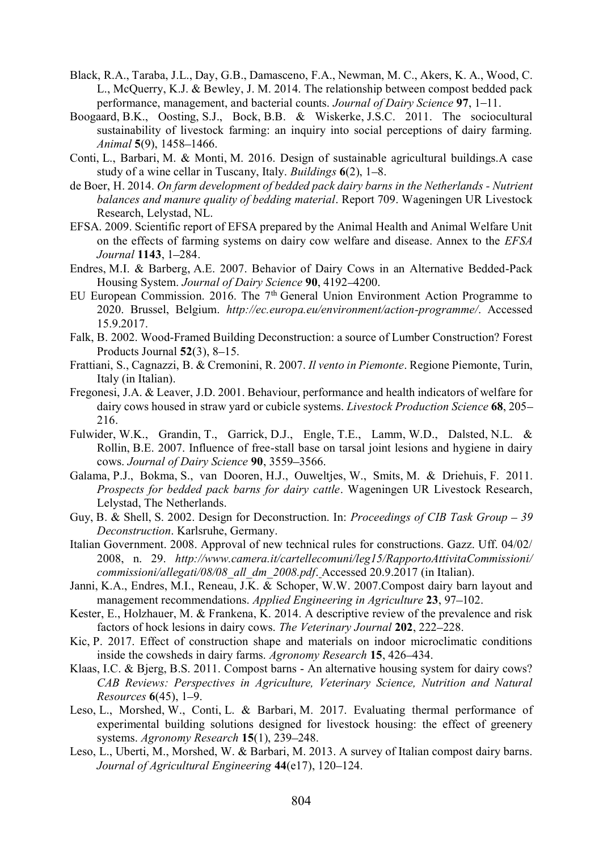- Black, R.A., Taraba, J.L., Day, G.B., Damasceno, F.A., Newman, M. C., Akers, K. A., Wood, C. L., McQuerry, K.J. & Bewley, J. M. 2014. The relationship between compost bedded pack performance, management, and bacterial counts. Journal of Dairy Science 97, 1–11.
- Boogaard, B.K., Oosting, S.J., Bock, B.B. & Wiskerke, J.S.C. 2011. The sociocultural sustainability of livestock farming: an inquiry into social perceptions of dairy farming. Animal 5(9), 1458-1466.
- Conti, L., Barbari, M. & Monti, M. 2016. Design of sustainable agricultural buildings.A case study of a wine cellar in Tuscany, Italy. Buildings  $6(2)$ , 1–8.
- de Boer, H. 2014. On farm development of bedded pack dairy barns in the Netherlands Nutrient balances and manure quality of bedding material. Report 709. Wageningen UR Livestock Research, Lelystad, NL.
- EFSA. 2009. Scientific report of EFSA prepared by the Animal Health and Animal Welfare Unit on the effects of farming systems on dairy cow welfare and disease. Annex to the EFSA Journal 1143, 1-284.
- Endres, M.I. & Barberg, A.E. 2007. Behavior of Dairy Cows in an Alternative Bedded-Pack Housing System. Journal of Dairy Science 90, 4192–4200.
- EU European Commission. 2016. The  $7<sup>th</sup>$  General Union Environment Action Programme to 2020. Brussel, Belgium. http://ec.europa.eu/environment/action-programme/. Accessed 15.9.2017.
- Falk, B. 2002. Wood-Framed Building Deconstruction: a source of Lumber Construction? Forest Products Journal  $52(3)$ , 8-15.
- Frattiani, S., Cagnazzi, B. & Cremonini, R. 2007. Il vento in Piemonte. Regione Piemonte, Turin, Italy (in Italian).
- Fregonesi, J.A. & Leaver, J.D. 2001. Behaviour, performance and health indicators of welfare for dairy cows housed in straw yard or cubicle systems. *Livestock Production Science* 68, 205– 216.
- Fulwider, W.K., Grandin, T., Garrick, D.J., Engle, T.E., Lamm, W.D., Dalsted, N.L. & Rollin, B.E. 2007. Influence of free-stall base on tarsal joint lesions and hygiene in dairy cows. Journal of Dairy Science 90, 3559-3566.
- Galama, P.J., Bokma, S., van Dooren, H.J., Ouweltjes, W., Smits, M. & Driehuis, F. 2011. Prospects for bedded pack barns for dairy cattle. Wageningen UR Livestock Research, Lelystad, The Netherlands.
- Guy, B. & Shell, S. 2002. Design for Deconstruction. In: *Proceedings of CIB Task Group 39* Deconstruction. Karlsruhe, Germany.
- Italian Government. 2008. Approval of new technical rules for constructions. Gazz. Uff. 04/02/ 2008, n. 29. http://www.camera.it/cartellecomuni/leg15/RapportoAttivitaCommissioni/ commissioni/allegati/08/08 all dm 2008.pdf. Accessed 20.9.2017 (in Italian).
- Janni, K.A., Endres, M.I., Reneau, J.K. & Schoper, W.W. 2007.Compost dairy barn layout and management recommendations. Applied Engineering in Agriculture 23, 97–102.
- Kester, E., Holzhauer, M. & Frankena, K. 2014. A descriptive review of the prevalence and risk factors of hock lesions in dairy cows. The Veterinary Journal 202, 222-228.
- Kic, P. 2017. Effect of construction shape and materials on indoor microclimatic conditions inside the cowsheds in dairy farms. Agronomy Research 15, 426–434.
- Klaas, I.C. & Bjerg, B.S. 2011. Compost barns An alternative housing system for dairy cows? CAB Reviews: Perspectives in Agriculture, Veterinary Science, Nutrition and Natural *Resources*  $6(45)$ , 1–9.
- Leso, L., Morshed, W., Conti, L. & Barbari, M. 2017. Evaluating thermal performance of experimental building solutions designed for livestock housing: the effect of greenery systems. Agronomy Research  $15(1)$ , 239–248.
- Leso, L., Uberti, M., Morshed, W. & Barbari, M. 2013. A survey of Italian compost dairy barns. Journal of Agricultural Engineering 44(e17), 120-124.